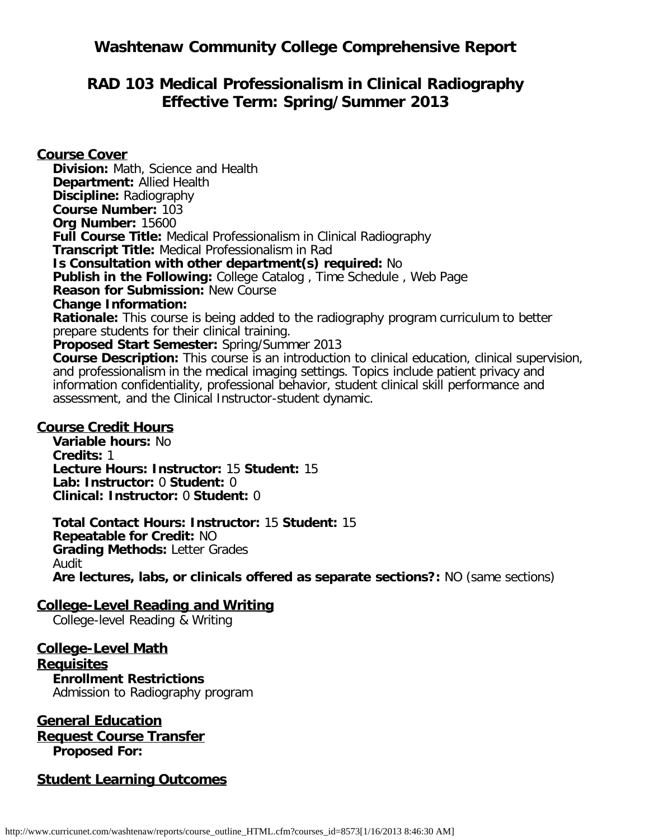# **Washtenaw Community College Comprehensive Report**

# **RAD 103 Medical Professionalism in Clinical Radiography Effective Term: Spring/Summer 2013**

**Course Cover Division:** Math, Science and Health **Department:** Allied Health **Discipline:** Radiography **Course Number:** 103 **Org Number:** 15600 **Full Course Title:** Medical Professionalism in Clinical Radiography **Transcript Title:** Medical Professionalism in Rad **Is Consultation with other department(s) required:** No **Publish in the Following:** College Catalog , Time Schedule , Web Page **Reason for Submission:** New Course **Change Information: Rationale:** This course is being added to the radiography program curriculum to better prepare students for their clinical training. **Proposed Start Semester:** Spring/Summer 2013 **Course Description:** This course is an introduction to clinical education, clinical supervision, and professionalism in the medical imaging settings. Topics include patient privacy and information confidentiality, professional behavior, student clinical skill performance and assessment, and the Clinical Instructor-student dynamic.

#### **Course Credit Hours**

**Variable hours:** No **Credits:** 1 **Lecture Hours: Instructor:** 15 **Student:** 15 **Lab: Instructor:** 0 **Student:** 0 **Clinical: Instructor:** 0 **Student:** 0

**Total Contact Hours: Instructor:** 15 **Student:** 15 **Repeatable for Credit:** NO **Grading Methods:** Letter Grades Audit

**Are lectures, labs, or clinicals offered as separate sections?:** NO (same sections)

### **College-Level Reading and Writing**

College-level Reading & Writing

**College-Level Math Requisites Enrollment Restrictions**

Admission to Radiography program

### **General Education Request Course Transfer Proposed For:**

### **Student Learning Outcomes**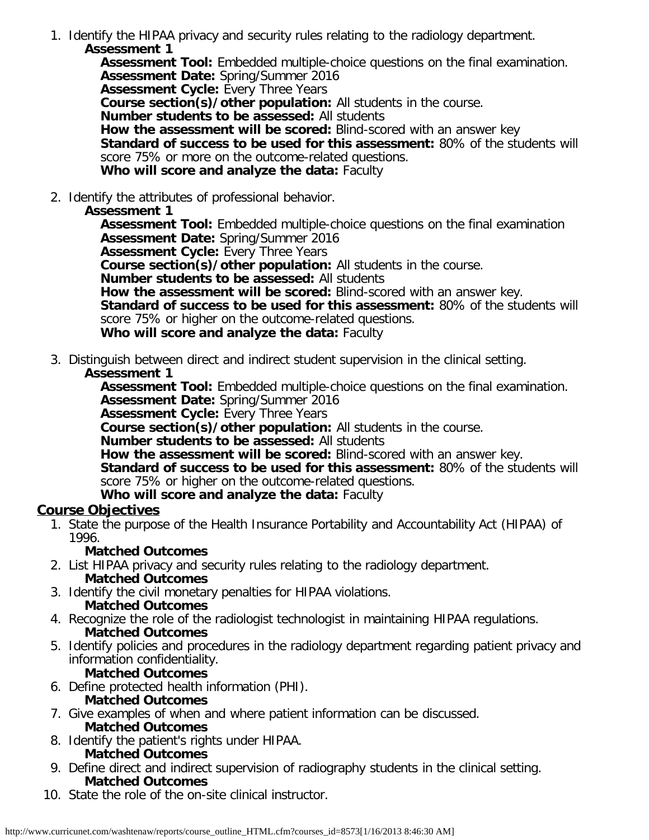1. Identify the HIPAA privacy and security rules relating to the radiology department. **Assessment 1**

**Assessment Tool:** Embedded multiple-choice questions on the final examination. **Assessment Date:** Spring/Summer 2016 **Assessment Cycle:** Every Three Years **Course section(s)/other population:** All students in the course. **Number students to be assessed:** All students **How the assessment will be scored:** Blind-scored with an answer key **Standard of success to be used for this assessment:** 80% of the students will score 75% or more on the outcome-related questions. **Who will score and analyze the data:** Faculty

2. Identify the attributes of professional behavior.

### **Assessment 1**

**Assessment Tool:** Embedded multiple-choice questions on the final examination **Assessment Date:** Spring/Summer 2016

**Assessment Cycle: Every Three Years** 

**Course section(s)/other population:** All students in the course.

**Number students to be assessed:** All students

**How the assessment will be scored:** Blind-scored with an answer key. **Standard of success to be used for this assessment:** 80% of the students will score 75% or higher on the outcome-related questions.

**Who will score and analyze the data:** Faculty

3. Distinguish between direct and indirect student supervision in the clinical setting.

#### **Assessment 1**

**Assessment Tool:** Embedded multiple-choice questions on the final examination. **Assessment Date:** Spring/Summer 2016

**Assessment Cycle:** Every Three Years

**Course section(s)/other population:** All students in the course.

**Number students to be assessed:** All students

**How the assessment will be scored:** Blind-scored with an answer key. **Standard of success to be used for this assessment:** 80% of the students will score 75% or higher on the outcome-related questions.

### **Who will score and analyze the data:** Faculty

### **Course Objectives**

1. State the purpose of the Health Insurance Portability and Accountability Act (HIPAA) of 1996.

### **Matched Outcomes**

- 2. List HIPAA privacy and security rules relating to the radiology department. **Matched Outcomes**
- 3. Identify the civil monetary penalties for HIPAA violations.
- **Matched Outcomes**
- 4. Recognize the role of the radiologist technologist in maintaining HIPAA regulations. **Matched Outcomes**
- 5. Identify policies and procedures in the radiology department regarding patient privacy and information confidentiality.
	- **Matched Outcomes**
- 6. Define protected health information (PHI).

### **Matched Outcomes**

- 7. Give examples of when and where patient information can be discussed. **Matched Outcomes**
- 8. Identify the patient's rights under HIPAA. **Matched Outcomes**
- 9. Define direct and indirect supervision of radiography students in the clinical setting. **Matched Outcomes**
- 10. State the role of the on-site clinical instructor.